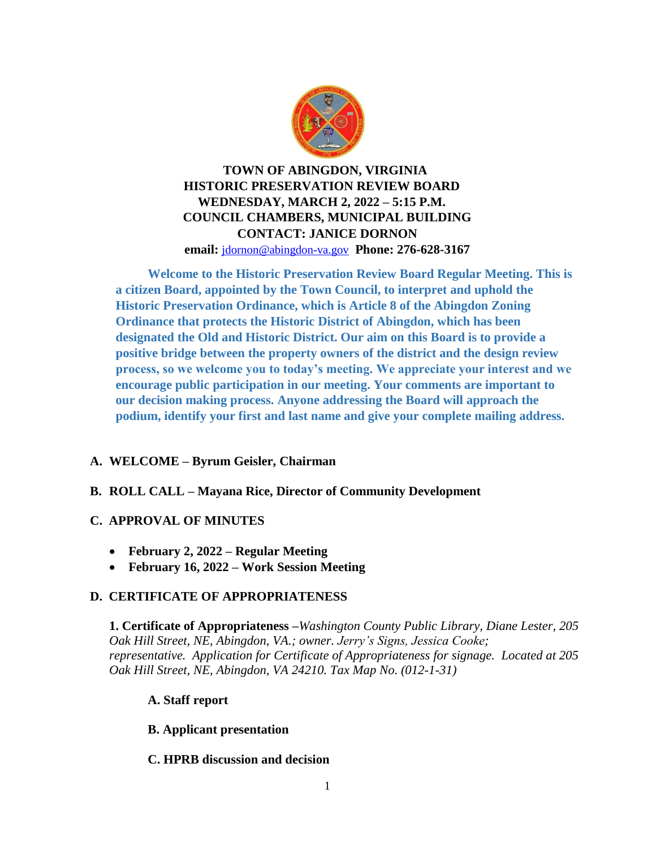

**TOWN OF ABINGDON, VIRGINIA HISTORIC PRESERVATION REVIEW BOARD WEDNESDAY, MARCH 2, 2022 – 5:15 P.M. COUNCIL CHAMBERS, MUNICIPAL BUILDING CONTACT: JANICE DORNON email:** [jdornon@abingdon-va.gov](mailto:jdornon@abingdon-va.gov) **Phone: 276-628-3167**

**Welcome to the Historic Preservation Review Board Regular Meeting. This is a citizen Board, appointed by the Town Council, to interpret and uphold the Historic Preservation Ordinance, which is Article 8 of the Abingdon Zoning Ordinance that protects the Historic District of Abingdon, which has been designated the Old and Historic District. Our aim on this Board is to provide a positive bridge between the property owners of the district and the design review process, so we welcome you to today's meeting. We appreciate your interest and we encourage public participation in our meeting. Your comments are important to our decision making process. Anyone addressing the Board will approach the podium, identify your first and last name and give your complete mailing address.**

# **A. WELCOME – Byrum Geisler, Chairman**

## **B. ROLL CALL – Mayana Rice, Director of Community Development**

## **C. APPROVAL OF MINUTES**

- **February 2, 2022 – Regular Meeting**
- **February 16, 2022 – Work Session Meeting**

## **D. CERTIFICATE OF APPROPRIATENESS**

**1. Certificate of Appropriateness –***Washington County Public Library, Diane Lester, 205 Oak Hill Street, NE, Abingdon, VA.; owner. Jerry's Signs, Jessica Cooke; representative. Application for Certificate of Appropriateness for signage. Located at 205 Oak Hill Street, NE, Abingdon, VA 24210. Tax Map No. (012-1-31)*

## **A. Staff report**

## **B. Applicant presentation**

## **C. HPRB discussion and decision**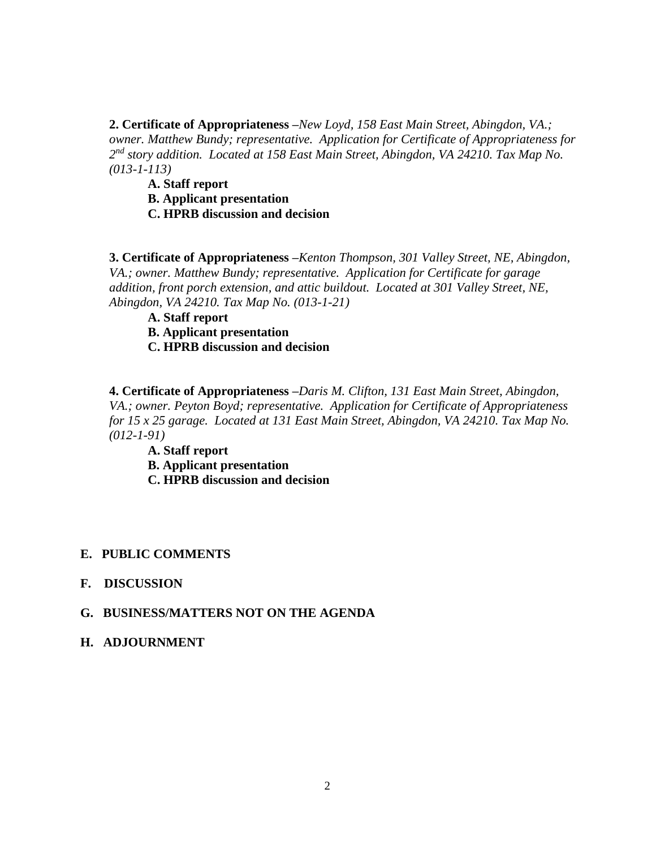**2. Certificate of Appropriateness –***New Loyd, 158 East Main Street, Abingdon, VA.; owner. Matthew Bundy; representative. Application for Certificate of Appropriateness for 2 nd story addition. Located at 158 East Main Street, Abingdon, VA 24210. Tax Map No. (013-1-113)*

**A. Staff report** 

**B. Applicant presentation** 

**C. HPRB discussion and decision** 

**3. Certificate of Appropriateness –***Kenton Thompson, 301 Valley Street, NE, Abingdon, VA.; owner. Matthew Bundy; representative. Application for Certificate for garage addition, front porch extension, and attic buildout. Located at 301 Valley Street, NE, Abingdon, VA 24210. Tax Map No. (013-1-21)*

**A. Staff report** 

**B. Applicant presentation** 

**C. HPRB discussion and decision** 

**4. Certificate of Appropriateness –***Daris M. Clifton, 131 East Main Street, Abingdon, VA.; owner. Peyton Boyd; representative. Application for Certificate of Appropriateness for 15 x 25 garage. Located at 131 East Main Street, Abingdon, VA 24210. Tax Map No. (012-1-91)*

**A. Staff report** 

**B. Applicant presentation** 

**C. HPRB discussion and decision** 

### **E. PUBLIC COMMENTS**

### **F. DISCUSSION**

### **G. BUSINESS/MATTERS NOT ON THE AGENDA**

### **H. ADJOURNMENT**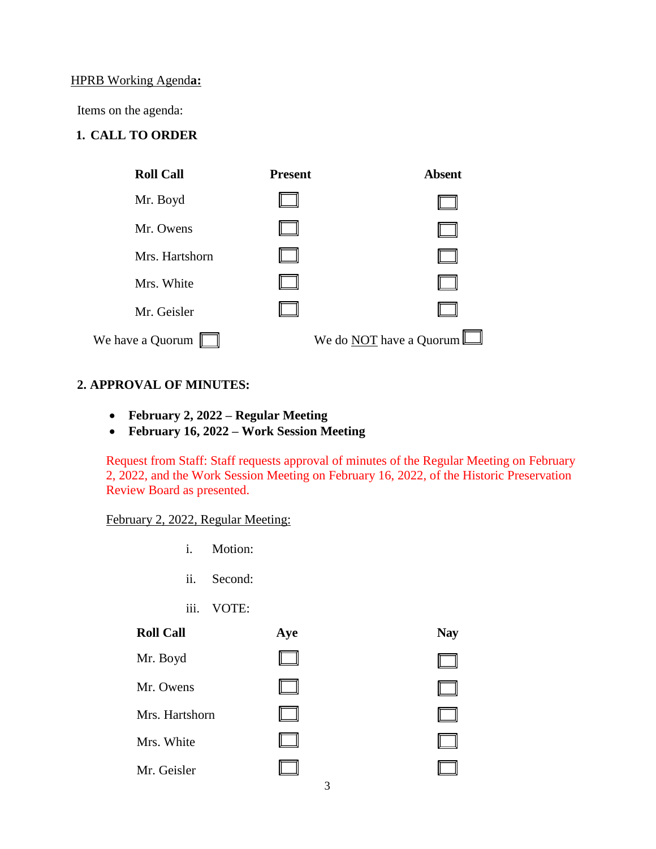#### HPRB Working Agend**a:**

Items on the agenda:

# **1. CALL TO ORDER**



### **2. APPROVAL OF MINUTES:**

- **February 2, 2022 – Regular Meeting**
- **February 16, 2022 – Work Session Meeting**

Request from Staff: Staff requests approval of minutes of the Regular Meeting on February 2, 2022, and the Work Session Meeting on February 16, 2022, of the Historic Preservation Review Board as presented.

 $\Box$ 

 $\Box$ 

## February 2, 2022, Regular Meeting:

- i. Motion:
- ii. Second:
- iii. VOTE:

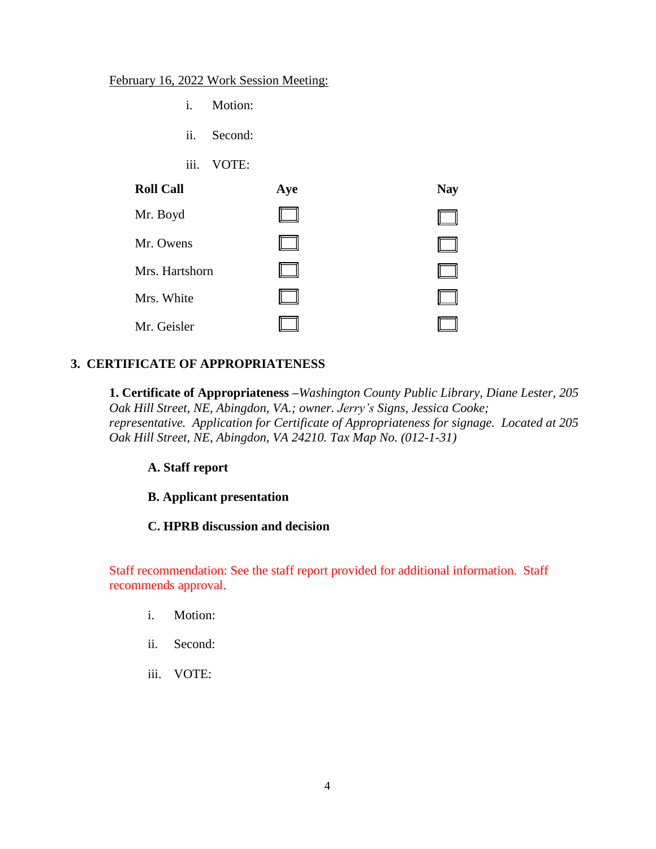### February 16, 2022 Work Session Meeting:

- i. Motion:
- ii. Second:
- iii. VOTE:

| <b>Roll Call</b> | Aye | <b>Nay</b> |
|------------------|-----|------------|
| Mr. Boyd         |     |            |
| Mr. Owens        |     |            |
| Mrs. Hartshorn   |     |            |
| Mrs. White       |     |            |
| Mr. Geisler      |     |            |

# **3. CERTIFICATE OF APPROPRIATENESS**

**1. Certificate of Appropriateness –***Washington County Public Library, Diane Lester, 205 Oak Hill Street, NE, Abingdon, VA.; owner. Jerry's Signs, Jessica Cooke; representative. Application for Certificate of Appropriateness for signage. Located at 205 Oak Hill Street, NE, Abingdon, VA 24210. Tax Map No. (012-1-31)*

## **A. Staff report**

## **B. Applicant presentation**

## **C. HPRB discussion and decision**

Staff recommendation: See the staff report provided for additional information. Staff recommends approval.

- i. Motion:
- ii. Second:
- iii. VOTE: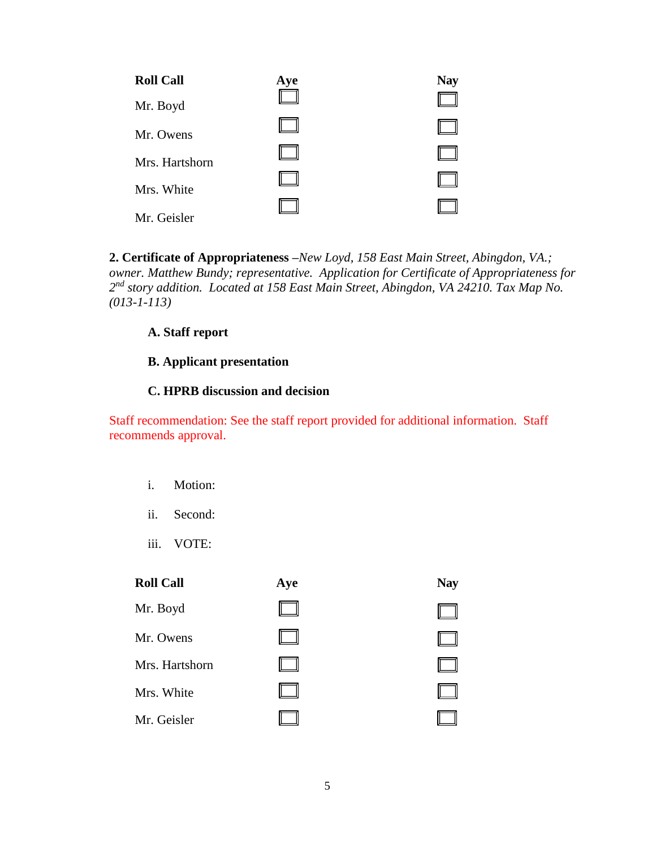| Mr. Boyd       |  |
|----------------|--|
| Mr. Owens      |  |
| Mrs. Hartshorn |  |
| Mrs. White     |  |
| Mr. Geisler    |  |

**2. Certificate of Appropriateness –***New Loyd, 158 East Main Street, Abingdon, VA.; owner. Matthew Bundy; representative. Application for Certificate of Appropriateness for 2 nd story addition. Located at 158 East Main Street, Abingdon, VA 24210. Tax Map No. (013-1-113)*

### **A. Staff report**

# **B. Applicant presentation**

## **C. HPRB discussion and decision**

Staff recommendation: See the staff report provided for additional information. Staff recommends approval.

- i. Motion:
- ii. Second:
- iii. VOTE:

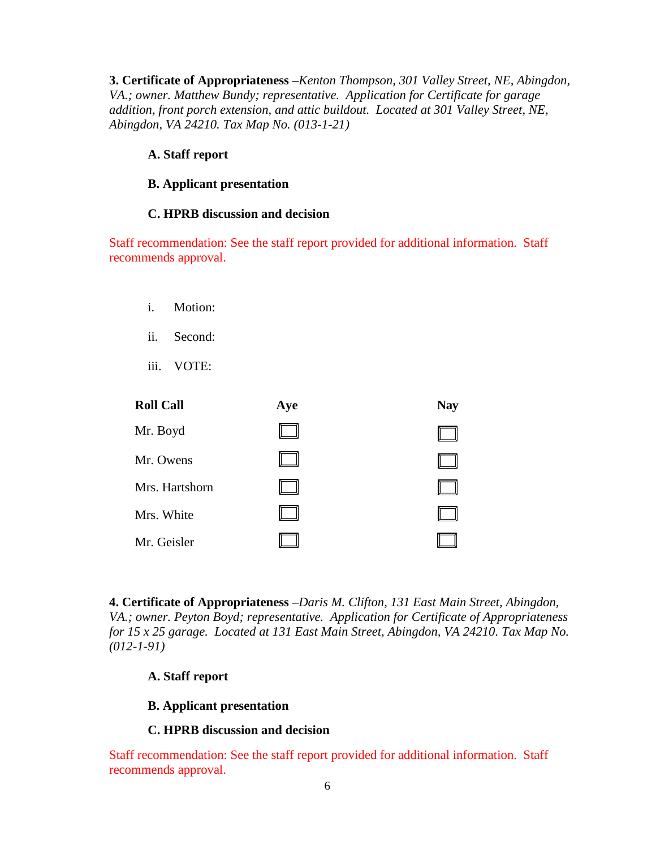**3. Certificate of Appropriateness –***Kenton Thompson, 301 Valley Street, NE, Abingdon, VA.; owner. Matthew Bundy; representative. Application for Certificate for garage addition, front porch extension, and attic buildout. Located at 301 Valley Street, NE, Abingdon, VA 24210. Tax Map No. (013-1-21)*

#### **A. Staff report**

#### **B. Applicant presentation**

#### **C. HPRB discussion and decision**

Staff recommendation: See the staff report provided for additional information. Staff recommends approval.

- i. Motion:
- ii. Second:
- iii. VOTE:

| <b>Roll Call</b> | Aye | <b>Nay</b> |
|------------------|-----|------------|
| Mr. Boyd         |     |            |
| Mr. Owens        |     |            |
| Mrs. Hartshorn   |     |            |
| Mrs. White       |     |            |
| Mr. Geisler      |     |            |

**4. Certificate of Appropriateness –***Daris M. Clifton, 131 East Main Street, Abingdon, VA.; owner. Peyton Boyd; representative. Application for Certificate of Appropriateness for 15 x 25 garage. Located at 131 East Main Street, Abingdon, VA 24210. Tax Map No. (012-1-91)*

### **A. Staff report**

#### **B. Applicant presentation**

### **C. HPRB discussion and decision**

Staff recommendation: See the staff report provided for additional information. Staff recommends approval.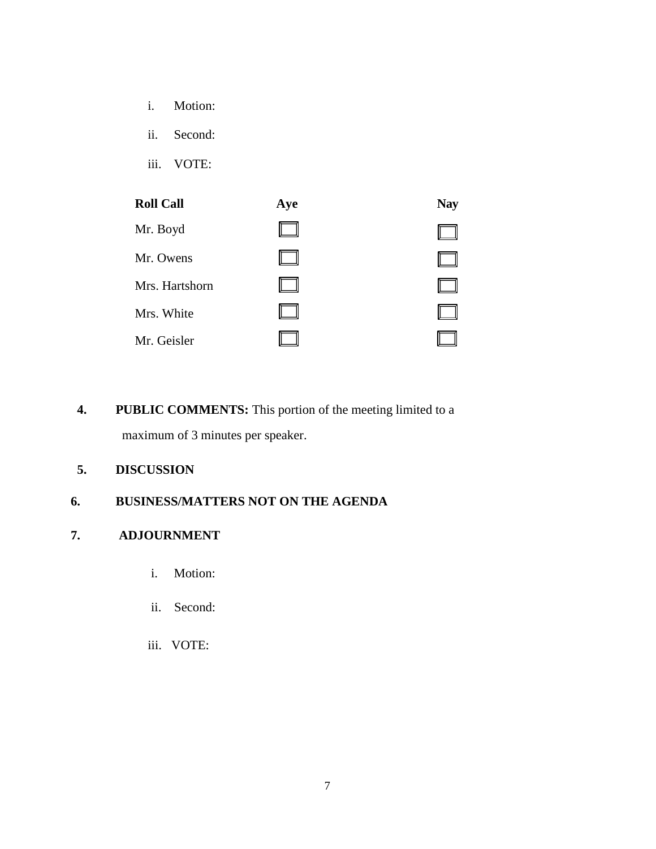- i. Motion:
- ii. Second:
- iii. VOTE:



**4. PUBLIC COMMENTS:** This portion of the meeting limited to a maximum of 3 minutes per speaker.

# **5. DISCUSSION**

## **6. BUSINESS/MATTERS NOT ON THE AGENDA**

## **7. ADJOURNMENT**

- i. Motion:
- ii. Second:
- iii. VOTE: